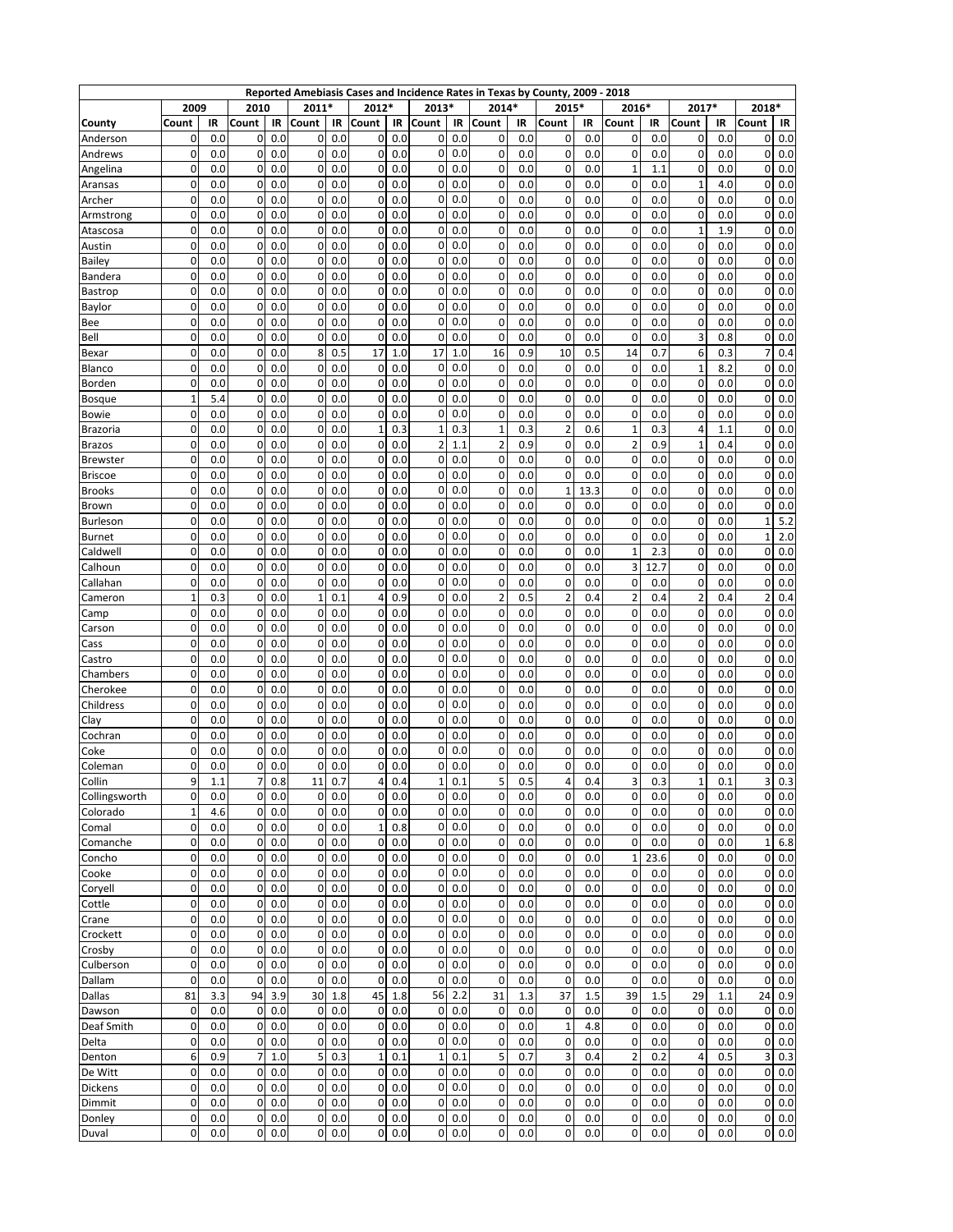|                     |              |            |                  |            | Reported Amebiasis Cases and Incidence Rates in Texas by County, 2009 - 2018 |            |                          |            |              |            |                |            |                         |            |                            |             |                            |            |                   |                 |
|---------------------|--------------|------------|------------------|------------|------------------------------------------------------------------------------|------------|--------------------------|------------|--------------|------------|----------------|------------|-------------------------|------------|----------------------------|-------------|----------------------------|------------|-------------------|-----------------|
|                     | 2009         |            | 2010             |            | 2011*                                                                        |            | 2012*                    |            | 2013*        |            | 2014*          |            | 2015*                   |            | 2016*                      |             | 2017*                      |            | 2018*             |                 |
| County              | Count        | IR         | Count            | IR         | Count                                                                        | IR         | Count                    | IR         | Count        | IR<br>0.0  | Count          | IR         | Count                   | IR         | Count                      | IR          | Count                      | IR         | Count             | IR              |
| Anderson            | 0<br>0       | 0.0<br>0.0 | 0<br>0           | 0.0<br>0.0 | 0<br>0                                                                       | 0.0<br>0.0 | 0<br>0                   | 0.0<br>0.0 | 0<br>0       | 0.0        | 0<br>0         | 0.0<br>0.0 | 0<br>0                  | 0.0<br>0.0 | 0<br>0                     | 0.0<br>0.0  | 0<br>0                     | 0.0<br>0.0 | 0<br>$\mathbf 0$  | 0.0<br>0.0      |
| Andrews<br>Angelina | 0            | 0.0        | 0                | 0.0        | 0                                                                            | 0.0        | 0                        | 0.0        | 0            | 0.0        | 0              | 0.0        | 0                       | 0.0        | $\mathbf{1}$               | 1.1         | $\mathbf 0$                | 0.0        | 0                 | 0.0             |
| Aransas             | 0            | 0.0        | 0                | 0.0        | $\overline{0}$                                                               | 0.0        | 0                        | 0.0        | 0            | 0.0        | 0              | 0.0        | 0                       | 0.0        | 0                          | 0.0         | 1                          | 4.0        | $\mathbf 0$       | 0.0             |
| Archer              | 0            | 0.0        | 0                | 0.0        | $\mathbf 0$                                                                  | 0.0        | 0                        | 0.0        | 0            | 0.0        | 0              | 0.0        | 0                       | 0.0        | 0                          | 0.0         | 0                          | 0.0        | $\overline{0}$    | 0.0             |
| Armstrong           | 0            | 0.0        | 0                | 0.0        | 0                                                                            | 0.0        | 0                        | 0.0        | 0            | 0.0        | 0              | 0.0        | 0                       | 0.0        | $\mathbf 0$                | 0.0         | 0                          | 0.0        | 0                 | 0.0             |
| Atascosa            | 0            | 0.0        | 0                | 0.0        | $\overline{0}$                                                               | 0.0        | 0                        | 0.0        | 0            | 0.0        | 0              | 0.0        | 0                       | 0.0        | 0                          | 0.0         | 1                          | 1.9        | 0                 | 0.0             |
| Austin              | 0            | 0.0        | 0                | 0.0        | 0                                                                            | 0.0        | 0                        | 0.0        | 0            | 0.0        | 0              | 0.0        | 0                       | 0.0        | $\mathbf 0$                | 0.0         | $\mathbf 0$                | 0.0        | 0                 | 0.0             |
| <b>Bailey</b>       | 0            | 0.0        | 0                | 0.0        | 0                                                                            | 0.0        | 0                        | 0.0        | 0            | 0.0        | 0              | 0.0        | 0                       | 0.0        | 0                          | 0.0         | 0                          | 0.0        | 0                 | 0.0             |
| Bandera             | 0            | 0.0        | 0                | 0.0        | $\overline{0}$                                                               | 0.0        | 0                        | 0.0        | 0            | 0.0        | 0              | 0.0        | 0                       | 0.0        | 0                          | 0.0         | 0                          | 0.0        | 0                 | 0.0             |
| Bastrop             | 0            | 0.0        | 0                | 0.0        | $\overline{0}$                                                               | 0.0        | 0                        | 0.0        | 0            | 0.0        | 0              | 0.0        | 0                       | 0.0        | $\mathbf 0$                | 0.0         | 0                          | 0.0        | 0                 | 0.0             |
| Baylor              | 0            | 0.0        | 0                | 0.0        | 0                                                                            | 0.0        | 0                        | 0.0        | 0            | 0.0        | 0              | 0.0        | 0                       | 0.0        | 0                          | 0.0         | $\mathbf 0$                | 0.0        | $\mathbf 0$       | 0.0             |
| Bee                 | 0            | 0.0        | 0                | 0.0        | $\overline{0}$                                                               | 0.0        | 0                        | 0.0        | 0            | 0.0        | 0              | 0.0        | 0                       | 0.0        | $\mathbf 0$                | 0.0         | 0                          | 0.0        | $\mathbf 0$       | 0.0             |
| Bell                | 0            | 0.0        | 0                | 0.0        | 0                                                                            | 0.0        | 0                        | 0.0        | 0            | 0.0        | 0              | 0.0        | 0                       | 0.0        | 0                          | 0.0         | 3                          | 0.8        | 0                 | 0.0             |
| Bexar               | 0            | 0.0        | 0                | 0.0        | 8                                                                            | 0.5        | 17                       | 1.0        | 17           | 1.0        | 16             | 0.9        | 10                      | 0.5        | 14                         | 0.7         | 6                          | 0.3        | 7                 | 0.4             |
| Blanco              | 0            | 0.0        | 0                | 0.0        | $\mathbf 0$                                                                  | 0.0        | 0                        | 0.0        | 0            | 0.0        | 0              | 0.0        | 0                       | 0.0        | 0                          | 0.0         | 1                          | 8.2        | $\mathbf 0$       | 0.0             |
| Borden              | 0            | 0.0        | 0                | 0.0        | $\mathbf 0$                                                                  | 0.0        | 0                        | 0.0        | 0            | 0.0        | 0              | 0.0        | 0                       | 0.0        | 0                          | 0.0         | 0                          | 0.0        | 0                 | 0.0             |
| <b>Bosque</b>       | $\mathbf{1}$ | 5.4        | 0                | 0.0        | $\overline{0}$                                                               | 0.0        | 0                        | 0.0        | 0            | 0.0        | 0              | 0.0        | 0                       | 0.0        | 0                          | 0.0         | 0                          | 0.0        | 0                 | 0.0             |
| Bowie               | 0            | 0.0        | 0                | 0.0        | $\mathbf 0$                                                                  | 0.0        | $\mathbf 0$              | 0.0        | 0            | 0.0        | 0              | 0.0        | 0                       | 0.0        | 0                          | 0.0         | $\mathbf 0$                | 0.0        | 0                 | 0.0             |
| Brazoria            | 0            | 0.0        | 0                | 0.0        | 0                                                                            | 0.0        | $\mathbf{1}$             | 0.3        | 1            | 0.3        | $\mathbf{1}$   | 0.3        | $\overline{\mathbf{c}}$ | 0.6        | $\mathbf{1}$               | 0.3         | 4                          | 1.1        | 0                 | 0.0             |
| <b>Brazos</b>       | 0            | 0.0        | 0                | 0.0        | $\overline{0}$                                                               | 0.0        | 0                        | 0.0        | 2            | 1.1        | $\overline{2}$ | 0.9        | 0                       | 0.0        | $\overline{2}$             | 0.9         | 1                          | 0.4        | 0                 | 0.0             |
| <b>Brewster</b>     | 0            | 0.0        | 0                | 0.0        | 0                                                                            | 0.0        | 0                        | 0.0        | 0            | 0.0        | 0              | 0.0        | 0                       | 0.0        | $\mathbf 0$                | 0.0         | 0                          | 0.0        | 0                 | 0.0             |
| <b>Briscoe</b>      | 0            | 0.0        | 0                | 0.0        | 0                                                                            | 0.0        | 0                        | 0.0        | 0            | 0.0        | 0              | 0.0        | 0                       | 0.0        | 0                          | 0.0         | 0                          | 0.0        | 0                 | 0.0             |
| <b>Brooks</b>       | 0            | 0.0        | 0                | 0.0        | 0                                                                            | 0.0        | 0                        | 0.0        | 0            | 0.0        | 0              | 0.0        | 1                       | 13.3       | 0                          | 0.0         | 0                          | 0.0        | $\mathbf 0$       | 0.0             |
| <b>Brown</b>        | 0            | 0.0        | 0                | 0.0        | 0                                                                            | 0.0        | 0                        | 0.0        | 0            | 0.0        | 0              | 0.0        | 0                       | 0.0        | 0                          | 0.0         | 0                          | 0.0        | $\mathbf 0$       | 0.0             |
| <b>Burleson</b>     | 0<br>0       | 0.0        | 0                | 0.0        | 0                                                                            | 0.0        | 0                        | 0.0        | 0            | 0.0        | 0              | 0.0        | 0<br>0                  | 0.0        | $\mathbf 0$<br>$\mathbf 0$ | 0.0         | $\mathbf 0$                | 0.0        | $\mathbf{1}$      | 5.2             |
| <b>Burnet</b>       | 0            | 0.0<br>0.0 | 0<br>0           | 0.0        | $\overline{0}$<br>0                                                          | 0.0<br>0.0 | 0<br>0                   | 0.0<br>0.0 | 0<br>0       | 0.0<br>0.0 | 0<br>0         | 0.0<br>0.0 | 0                       | 0.0        | $\mathbf{1}$               | 0.0         | 0<br>0                     | 0.0<br>0.0 | $\mathbf{1}$<br>0 | 2.0<br>0.0      |
| Caldwell            | 0            | 0.0        | 0                | 0.0<br>0.0 | $\overline{0}$                                                               | 0.0        | 0                        | 0.0        | 0            | 0.0        | 0              | 0.0        | 0                       | 0.0<br>0.0 | 3                          | 2.3<br>12.7 | 0                          | 0.0        | 0                 | 0.0             |
| Calhoun<br>Callahan | 0            | 0.0        | 0                | 0.0        | $\mathbf 0$                                                                  | 0.0        | 0                        | 0.0        | 0            | 0.0        | 0              | 0.0        | 0                       | 0.0        | 0                          | 0.0         | 0                          | 0.0        | $\mathbf 0$       | 0.0             |
| Cameron             | $\mathbf{1}$ | 0.3        | 0                | 0.0        | $1\vert$                                                                     | 0.1        | 4                        | 0.9        | 0            | 0.0        | $\overline{2}$ | 0.5        | $\overline{\mathbf{c}}$ | 0.4        | $\overline{2}$             | 0.4         | 2                          | 0.4        | $\overline{2}$    | 0.4             |
| Camp                | 0            | 0.0        | 0                | 0.0        | $\overline{0}$                                                               | 0.0        | 0                        | 0.0        | 0            | 0.0        | 0              | 0.0        | 0                       | 0.0        | 0                          | 0.0         | 0                          | 0.0        | 0                 | 0.0             |
| Carson              | 0            | 0.0        | 0                | 0.0        | 0                                                                            | 0.0        | 0                        | 0.0        | 0            | 0.0        | 0              | 0.0        | 0                       | 0.0        | 0                          | 0.0         | $\mathbf 0$                | 0.0        | 0                 | 0.0             |
| Cass                | 0            | 0.0        | 0                | 0.0        | 0l                                                                           | 0.0        | 0                        | 0.0        | 0            | 0.0        | 0              | 0.0        | 0                       | 0.0        | $\mathbf 0$                | 0.0         | 0                          | 0.0        | 0                 | 0.0             |
| Castro              | 0            | 0.0        | 0                | 0.0        | $\mathbf{0}$                                                                 | 0.0        | 0                        | 0.0        | 0            | 0.0        | 0              | 0.0        | 0                       | 0.0        | 0                          | 0.0         | 0                          | 0.0        | 0                 | 0.0             |
| Chambers            | 0            | 0.0        | 0                | 0.0        | $\overline{0}$                                                               | 0.0        | 0                        | 0.0        | 0            | 0.0        | 0              | 0.0        | 0                       | 0.0        | 0                          | 0.0         | 0                          | 0.0        | $\mathbf 0$       | 0.0             |
| Cherokee            | 0            | 0.0        | 0                | 0.0        | 0                                                                            | 0.0        | 0                        | 0.0        | 0            | 0.0        | 0              | 0.0        | 0                       | 0.0        | 0                          | 0.0         | 0                          | 0.0        | $\mathbf 0$       | 0.0             |
| Childress           | 0            | 0.0        | 0                | 0.0        | $\mathbf 0$                                                                  | 0.0        | $\mathbf 0$              | 0.0        | 0            | 0.0        | 0              | 0.0        | 0                       | 0.0        | $\mathbf 0$                | 0.0         | 0                          | 0.0        | $\overline{0}$    | 0.0             |
| Clay                | 0            | 0.0        | 0                | 0.0        | 0                                                                            | 0.0        | 0                        | 0.0        | 0            | 0.0        | 0              | 0.0        | 0                       | 0.0        | 0                          | 0.0         | 0                          | 0.0        | 0                 | 0.0             |
| Cochran             | 0            | 0.0        | 0                | 0.0        | $\mathbf{0}$                                                                 | 0.0        | 0                        | 0.0        | 0            | 0.0        | 0              | 0.0        | 0                       | 0.0        | $\mathbf 0$                | 0.0         | 0                          | 0.0        | 0                 | 0.0             |
| Coke                | 0            | 0.0        | 0                | 0.0        | 0                                                                            | 0.0        | 0                        | 0.0        | 0            | 0.0        | 0              | 0.0        | 0                       | 0.0        | 0                          | 0.0         | 0                          | 0.0        | 0                 | 0.0             |
| Coleman             | 0            | 0.0        | 0                | 0.0        | 0                                                                            | 0.0        | 0                        | 0.0        | 0            | 0.0        | 0              | 0.0        | 0                       | 0.0        | 0                          | 0.0         | 0                          | 0.0        | 0                 | 0.0             |
| Collin              | 9            | 1.1        | $\overline{7}$   | 0.8        | 11                                                                           | 0.7        | 4                        | 0.4        | $\mathbf{1}$ | 0.1        | 5              | 0.5        | 4                       | 0.4        | 3                          | 0.3         | $\mathbf{1}$               | 0.1        | 3                 | 0.3             |
| Collingsworth       | 0            | 0.0        | 0                | 0.0        |                                                                              | 0.0        |                          | 0.0        | 0            | 0.0        | $\pmb{0}$      | 0.0        | 0                       | 0.0        | 0                          | 0.0         | $\mathbf 0$                | 0.0        |                   | $0\,0.0$        |
| Colorado            | $\mathbf 1$  | 4.6        | 0                | 0.0        | $\overline{0}$                                                               | 0.0        | $\mathbf 0$              | 0.0        | 0            | 0.0        | 0              | 0.0        | $\mathbf 0$             | 0.0        | $\mathbf 0$                | 0.0         | $\mathbf 0$                | 0.0        | $\overline{0}$    | 0.0             |
| Comal               | 0            | 0.0        | 0                | 0.0        | $\overline{0}$                                                               | 0.0        | 1                        | 0.8        | 0            | 0.0        | $\pmb{0}$      | 0.0        | $\pmb{0}$               | 0.0        | 0                          | 0.0         | $\mathbf 0$                | 0.0        | $\mathbf 0$       | 0.0             |
| Comanche            | 0            | 0.0        | 0                | 0.0        | $\overline{0}$                                                               | 0.0        | 0                        | 0.0        | 0            | 0.0        | 0              | 0.0        | 0                       | 0.0        | 0                          | 0.0         | 0                          | 0.0        | $\mathbf 1$       | 6.8             |
| Concho              | 0            | 0.0        | 0                | 0.0        | 0                                                                            | 0.0        | 0                        | 0.0        | 0            | 0.0        | 0              | 0.0        | 0                       | 0.0        | $\mathbf{1}$               | 23.6        | $\mathbf 0$                | 0.0        | $\mathbf 0$       | 0.0             |
| Cooke               | 0            | 0.0<br>0.0 | $\pmb{0}$        | 0.0<br>0.0 | $\overline{0}$<br>$\overline{0}$                                             | 0.0        | $\pmb{0}$<br>$\mathbf 0$ | 0.0<br>0.0 | 0<br>0       | 0.0<br>0.0 | 0<br>0         | 0.0<br>0.0 | $\pmb{0}$               | 0.0        | 0<br>$\mathbf 0$           | 0.0<br>0.0  | $\mathbf 0$<br>$\mathbf 0$ | 0.0<br>0.0 | $\mathbf{0}$      | 0.0<br>$0\ 0.0$ |
| Coryell<br>Cottle   | 0<br>0       | 0.0        | 0<br>$\mathbf 0$ | 0.0        | $\overline{0}$                                                               | 0.0<br>0.0 | $\mathbf 0$              | 0.0        | 0            | 0.0        | 0              | 0.0        | $\mathbf 0$<br>0        | 0.0<br>0.0 | 0                          | 0.0         | $\mathbf 0$                | 0.0        | 0                 | 0.0             |
| Crane               | 0            | 0.0        | $\pmb{0}$        | 0.0        |                                                                              | 0.0        | $\pmb{0}$                | 0.0        | 0            | 0.0        | 0              | 0.0        | $\mathbf 0$             | 0.0        | $\mathbf 0$                | 0.0         | $\mathbf 0$                | 0.0        | $\mathbf 0$       | 0.0             |
| Crockett            | 0            | 0.0        | 0                | 0.0        | 0                                                                            | 0.0        | 0                        | 0.0        | 0            | 0.0        | 0              | 0.0        | $\mathbf 0$             | 0.0        | 0                          | 0.0         | $\mathbf 0$                | 0.0        | $\mathbf{0}$      | 0.0             |
| Crosby              | 0            | 0.0        | 0                | 0.0        | $\overline{0}$                                                               | 0.0        | 0                        | 0.0        | 0            | 0.0        | 0              | 0.0        | 0                       | 0.0        | 0                          | 0.0         | 0                          | 0.0        | 0                 | 0.0             |
| Culberson           | 0            | 0.0        | 0                | 0.0        | 0                                                                            | 0.0        | $\pmb{0}$                | 0.0        | 0            | 0.0        | 0              | 0.0        | 0                       | 0.0        | 0                          | 0.0         | $\mathbf 0$                | 0.0        | $\overline{0}$    | 0.0             |
| Dallam              | 0            | 0.0        | 0                | 0.0        | $\overline{0}$                                                               | 0.0        | 0                        | 0.0        | 0            | 0.0        | 0              | 0.0        | 0                       | 0.0        | $\mathbf 0$                | 0.0         | $\mathbf 0$                | 0.0        | 0                 | 0.0             |
| Dallas              | 81           | 3.3        | 94               | 3.9        | 30                                                                           | 1.8        | 45                       | 1.8        | 56           | 2.2        | 31             | 1.3        | 37                      | 1.5        | 39                         | 1.5         | 29                         | 1.1        | 24                | 0.9             |
| Dawson              | $\pmb{0}$    | 0.0        | $\pmb{0}$        | 0.0        | $\overline{0}$                                                               | 0.0        | $\overline{0}$           | 0.0        | 0            | 0.0        | $\mathbf 0$    | 0.0        | $\pmb{0}$               | 0.0        | $\pmb{0}$                  | 0.0         | $\mathbf 0$                | 0.0        | $\mathbf 0$       | 0.0             |
| Deaf Smith          | 0            | 0.0        | 0                | 0.0        | 0                                                                            | 0.0        | 0                        | 0.0        | 0            | 0.0        | 0              | 0.0        | $\mathbf 1$             | 4.8        | 0                          | 0.0         | $\mathbf 0$                | 0.0        | $\mathbf 0$       | 0.0             |
| Delta               | 0            | 0.0        | $\pmb{0}$        | 0.0        | $\overline{0}$                                                               | 0.0        | 0                        | 0.0        | 0            | 0.0        | 0              | 0.0        | $\pmb{0}$               | 0.0        | $\pmb{0}$                  | 0.0         | $\mathbf 0$                | 0.0        | $\mathbf 0$       | 0.0             |
| Denton              | 6            | 0.9        | 7                | 1.0        | 5 <sup>1</sup>                                                               | 0.3        | 1                        | 0.1        | 1            | 0.1        | 5              | 0.7        | 3                       | 0.4        | $\overline{2}$             | 0.2         | 4                          | 0.5        | 3                 | 0.3             |
| De Witt             | 0            | 0.0        | 0                | 0.0        | $\mathsf{o}$                                                                 | 0.0        | 0                        | 0.0        | 0            | 0.0        | 0              | 0.0        | 0                       | 0.0        | 0                          | 0.0         | $\mathbf 0$                | 0.0        | $\overline{0}$    | 0.0             |
| Dickens             | 0            | 0.0        | $\pmb{0}$        | 0.0        | $\overline{0}$                                                               | 0.0        | $\pmb{0}$                | 0.0        | 0            | 0.0        | $\mathbf 0$    | 0.0        | $\mathbf 0$             | 0.0        | $\pmb{0}$                  | 0.0         | $\mathbf 0$                | 0.0        | $\overline{0}$    | 0.0             |
|                     |              |            | 0                | 0.0        | $\overline{0}$                                                               | 0.0        | 0                        | 0.0        | 0            | 0.0        | 0              | 0.0        | 0                       | 0.0        | 0                          | 0.0         | 0                          | 0.0        | $\mathbf 0$       | 0.0             |
| Dimmit              | 0            | 0.0        |                  |            |                                                                              |            |                          |            |              |            |                |            |                         |            |                            |             |                            |            |                   |                 |
| Donley              | 0            | 0.0        | 0                | 0.0        | $\overline{0}$                                                               | 0.0        | 0                        | 0.0        | 0            | 0.0        | 0              | 0.0        | 0                       | 0.0        | 0                          | 0.0         | 0                          | 0.0        | 0                 | 0.0             |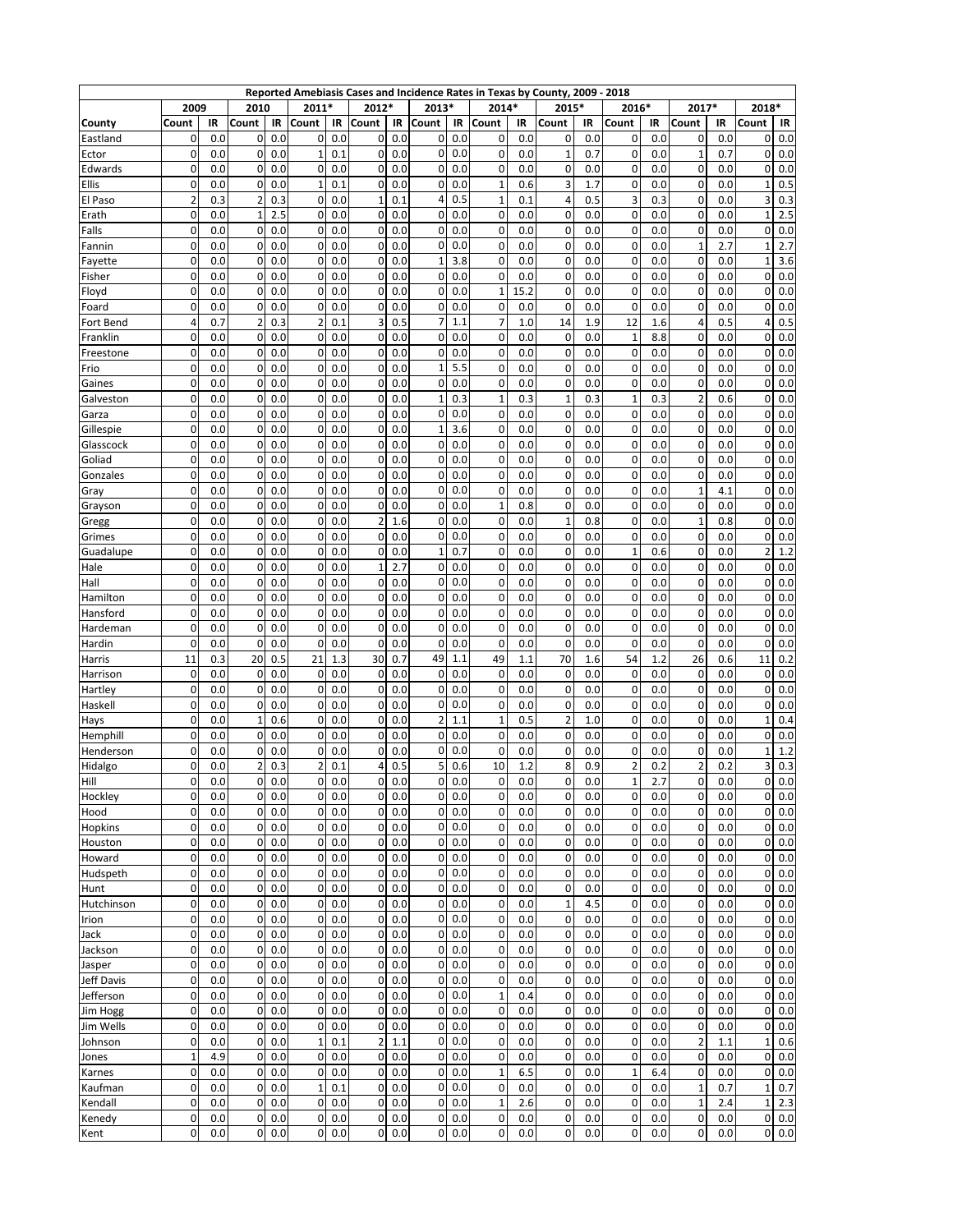|                  |                  |            |                |            |                               |            |                         |            |             | Reported Amebiasis Cases and Incidence Rates in Texas by County, 2009 - 2018 |                |            |                |            |                |            |                |            |              |                     |
|------------------|------------------|------------|----------------|------------|-------------------------------|------------|-------------------------|------------|-------------|------------------------------------------------------------------------------|----------------|------------|----------------|------------|----------------|------------|----------------|------------|--------------|---------------------|
|                  | 2009             |            | 2010           |            | 2011*                         |            | 2012*                   |            | 2013*       |                                                                              | 2014*          |            | 2015*          |            | 2016*          |            | 2017*          |            | 2018*        |                     |
| County           | Count            | IR         | Count          | IR         | Count                         | IR         | Count                   | IR         | Count       | IR                                                                           | Count          | IR         | Count          | IR         | Count          | IR         | Count          | IR         | Count        | IR                  |
| Eastland         | 0                | 0.0        | 0              | 0.0        | 0                             | 0.0        | 0                       | 0.0        | 0           | 0.0                                                                          | 0              | 0.0        | 0              | 0.0        | 0              | 0.0        | 0              | 0.0        | 0            | 0.0                 |
| Ector            | 0                | 0.0        | 0              | 0.0        | 1                             | 0.1        | 0                       | 0.0        | 0           | 0.0                                                                          | 0              | 0.0        | 1              | 0.7        | 0              | 0.0        | 1              | 0.7        | 0            | 0.0                 |
| Edwards          | 0                | 0.0        | 0              | 0.0        | 0                             | 0.0        | 0                       | 0.0        | 0           | 0.0                                                                          | 0              | 0.0        | 0              | 0.0        | 0              | 0.0        | 0              | 0.0        | 0            | 0.0                 |
| Ellis            | 0                | 0.0        | 0              | 0.0        | $\mathbf 1$                   | 0.1        | 0                       | 0.0        | 0           | 0.0                                                                          | $\mathbf{1}$   | 0.6        | 3              | 1.7        | 0              | 0.0        | 0              | 0.0        | $\mathbf{1}$ | 0.5                 |
| El Paso          | $\overline{2}$   | 0.3        | $\overline{2}$ | 0.3        | $\mathbf{0}$                  | 0.0        | $\overline{1}$          | 0.1        | 4           | 0.5                                                                          | $\mathbf 1$    | 0.1        | 4              | 0.5        | 3              | 0.3        | $\mathbf 0$    | 0.0        | 3            | 0.3                 |
| Erath            | 0                | 0.0        | 1              | 2.5        | 0                             | 0.0        | 0                       | 0.0        | 0           | 0.0                                                                          | 0              | 0.0        | 0              | 0.0        | 0              | 0.0        | 0              | 0.0        | 1            | 2.5                 |
| Falls            | 0                | 0.0        | 0              | 0.0        | 0                             | 0.0        | 0                       | 0.0        | 0           | 0.0                                                                          | 0              | 0.0        | 0              | 0.0        | 0              | 0.0        | 0              | 0.0        | 0            | 0.0                 |
| Fannin           | 0                | 0.0        | 0              | 0.0        | 0                             | 0.0        | 0                       | 0.0        | 0<br>1      | 0.0                                                                          | 0              | 0.0        | 0              | 0.0        | 0              | 0.0        | $\mathbf{1}$   | 2.7        | 1            | 2.7                 |
| Fayette          | 0<br>0           | 0.0<br>0.0 | 0              | 0.0<br>0.0 | 0<br>$\mathbf 0$              | 0.0        | 0<br>0                  | 0.0        | 0           | 3.8<br>0.0                                                                   | 0<br>0         | 0.0<br>0.0 | 0<br>0         | 0.0<br>0.0 | 0<br>0         | 0.0        | 0<br>0         | 0.0<br>0.0 | $\mathbf{1}$ | 3.6<br>0.0          |
| Fisher<br>Floyd  | 0                | 0.0        | 0<br>0         | 0.0        | 0                             | 0.0<br>0.0 | 0                       | 0.0<br>0.0 | 0           | 0.0                                                                          | 1              | 15.2       | 0              | 0.0        | 0              | 0.0<br>0.0 | 0              | 0.0        | 0<br>0       | 0.0                 |
| Foard            | 0                | 0.0        | 0              | 0.0        | 0                             | 0.0        | 0                       | 0.0        | 0           | 0.0                                                                          | 0              | 0.0        | 0              | 0.0        | $\Omega$       | 0.0        | $\Omega$       | 0.0        | 0            | 0.0                 |
| Fort Bend        | 4                | 0.7        | 2              | 0.3        | $\overline{2}$                | 0.1        | 3                       | 0.5        | 7           | 1.1                                                                          | $\overline{7}$ | 1.0        | 14             | 1.9        | 12             | 1.6        | 4              | 0.5        | 4            | 0.5                 |
| Franklin         | 0                | 0.0        | 0              | 0.0        | 0                             | 0.0        | 0                       | 0.0        | 0           | 0.0                                                                          | 0              | 0.0        | 0              | 0.0        | 1              | 8.8        | $\mathbf 0$    | 0.0        | 0            | 0.0                 |
| Freestone        | 0                | 0.0        | 0              | 0.0        | 0                             | 0.0        | 0                       | 0.0        | 0           | 0.0                                                                          | 0              | 0.0        | 0              | 0.0        | $\Omega$       | 0.0        | $\Omega$       | 0.0        | 0            | 0.0                 |
| Frio             | 0                | 0.0        | 0              | 0.0        | $\mathbf{0}$                  | 0.0        | 0                       | 0.0        | 1           | 5.5                                                                          | 0              | 0.0        | 0              | 0.0        | 0              | 0.0        | 0              | 0.0        | 0            | 0.0                 |
| Gaines           | 0                | 0.0        | 0              | 0.0        | 0                             | 0.0        | 0                       | 0.0        | 0           | 0.0                                                                          | 0              | 0.0        | 0              | 0.0        | 0              | 0.0        | 0              | 0.0        | 0            | 0.0                 |
| Galveston        | 0                | 0.0        | 0              | 0.0        | $\mathbf 0$                   | 0.0        | 0                       | 0.0        | 1           | 0.3                                                                          | 1              | 0.3        | 1              | 0.3        | 1              | 0.3        | $\overline{2}$ | 0.6        | 0            | 0.0                 |
| Garza            | 0                | 0.0        | 0              | 0.0        | $\mathbf{O}$                  | 0.0        | 0                       | 0.0        | 0           | 0.0                                                                          | 0              | 0.0        | $\mathbf 0$    | 0.0        | 0              | 0.0        | $\mathbf 0$    | 0.0        | 0            | 0.0                 |
| Gillespie        | 0                | 0.0        | 0              | 0.0        | 0                             | 0.0        | 0                       | 0.0        | 1           | 3.6                                                                          | 0              | 0.0        | 0              | 0.0        | 0              | 0.0        | 0              | 0.0        | 0            | 0.0                 |
| Glasscock        | 0                | 0.0        | 0              | 0.0        | $\mathbf 0$                   | 0.0        | 0                       | 0.0        | 0           | 0.0                                                                          | 0              | 0.0        | 0              | 0.0        | 0              | 0.0        | 0              | 0.0        | 0            | 0.0                 |
| Goliad           | 0                | 0.0        | 0              | 0.0        | 0                             | 0.0        | 0                       | 0.0        | 0           | 0.0                                                                          | 0              | 0.0        | 0              | 0.0        | 0              | 0.0        | 0              | 0.0        | 0            | 0.0                 |
| Gonzales         | 0                | 0.0        | 0              | 0.0        | 0                             | 0.0        | 0                       | 0.0        | 0           | 0.0                                                                          | 0              | 0.0        | 0              | 0.0        | 0              | 0.0        | 0              | 0.0        | 0            | 0.0                 |
| Gray             | 0                | 0.0        | 0              | 0.0        | $\mathbf 0$                   | 0.0        | 0                       | 0.0        | 0           | 0.0                                                                          | 0              | 0.0        | 0              | 0.0        | 0              | 0.0        | $\mathbf{1}$   | 4.1        | 0            | 0.0                 |
| Grayson          | 0                | 0.0        | 0              | 0.0        | 0                             | 0.0        | 0                       | 0.0        | 0           | 0.0                                                                          | $\mathbf{1}$   | 0.8        | 0              | 0.0        | 0              | 0.0        | 0              | 0.0        | 0            | 0.0                 |
| Gregg            | 0                | 0.0        | 0              | 0.0        | 0                             | 0.0        | $\overline{2}$          | 1.6        | 0           | 0.0                                                                          | 0              | 0.0        | $\overline{1}$ | 0.8        | 0              | 0.0        | $\mathbf{1}$   | 0.8        | $\Omega$     | 0.0                 |
| Grimes           | 0                | 0.0        | 0              | 0.0        | $\mathbf 0$                   | 0.0        | 0                       | 0.0        | 0           | 0.0                                                                          | 0              | 0.0        | 0              | 0.0        | 0              | 0.0        | 0              | 0.0        | 0            | 0.0                 |
| Guadalupe        | 0                | 0.0        | 0              | 0.0        | 0                             | 0.0        | 0                       | 0.0        | 1           | 0.7                                                                          | 0              | 0.0        | 0              | 0.0        | $\mathbf{1}$   | 0.6        | 0              | 0.0        | 2            | 1.2                 |
| Hale             | 0                | 0.0        | 0              | 0.0        | 0                             | 0.0        | $\mathbf{1}$            | 2.7        | 0           | 0.0                                                                          | 0              | 0.0        | 0              | 0.0        | $\Omega$       | 0.0        | $\Omega$       | 0.0        | 0            | 0.0                 |
| Hall             | 0                | 0.0        | 0              | 0.0        | 0                             | 0.0        | 0                       | 0.0        | 0           | 0.0                                                                          | 0              | 0.0        | 0              | 0.0        | 0              | 0.0        | 0              | 0.0        | 0            | 0.0                 |
| Hamilton         | 0                | 0.0        | 0              | 0.0        | 0                             | 0.0        | 0                       | 0.0        | 0           | 0.0                                                                          | 0              | 0.0        | 0              | 0.0        | 0              | 0.0        | 0              | 0.0        | 0            | 0.0                 |
| Hansford         | 0                | 0.0        | 0              | 0.0        | 0                             | 0.0        | 0                       | 0.0        | 0           | 0.0                                                                          | 0              | 0.0        | 0              | 0.0        | 0              | 0.0        | 0              | 0.0        | 0            | 0.0                 |
| Hardeman         | 0                | 0.0        | 0              | 0.0        | 0                             | 0.0        | 0                       | 0.0        | 0           | 0.0                                                                          | 0              | 0.0        | 0              | 0.0        | 0              | 0.0        | $\Omega$       | 0.0        | 0            | 0.0                 |
| Hardin           | 0                | 0.0        | 0              | 0.0        | 0                             | 0.0        | 0                       | 0.0        | 0           | 0.0                                                                          | 0              | 0.0        | 0              | 0.0        | 0              | 0.0        | 0              | 0.0        | 0            | 0.0                 |
| Harris           | 11               | 0.3        | 20             | 0.5        | 21                            | 1.3        | 30                      | 0.7        | 49          | 1.1                                                                          | 49             | 1.1        | 70             | 1.6        | 54             | 1.2        | 26             | 0.6        | 11           | 0.2                 |
| Harrison         | 0                | 0.0        | 0              | 0.0        | 0                             | 0.0        | 0                       | 0.0        | 0           | 0.0                                                                          | 0              | 0.0        | 0              | 0.0        | 0              | 0.0        | $\mathbf 0$    | 0.0        | 0            | 0.0                 |
| Hartley          | $\mathbf 0$<br>0 | 0.0        | 0<br>0         | 0.0        | 0                             | 0.0        | 0<br>0                  | 0.0        | 0           | 0.0                                                                          | 0<br>0         | 0.0        | 0<br>0         | 0.0        | 0<br>0         | 0.0        | 0              | 0.0        | 0            | 0.0                 |
| Haskell          | 0                | 0.0<br>0.0 | 1              | 0.0<br>0.6 | $\mathbf 0$<br>0              | 0.0<br>0.0 | 0                       | 0.0<br>0.0 | 0<br>2      | 0.0<br>1.1                                                                   | 1              | 0.0<br>0.5 | 2              | 0.0<br>1.0 | 0              | 0.0<br>0.0 | 0<br>0         | 0.0<br>0.0 | 0<br>1       | 0.0<br>0.4          |
| Hays<br>Hemphill | 0                | 0.0        | 0              | 0.0        | 0                             | 0.0        | 0                       | 0.0        | 0           | 0.0                                                                          | 0              | 0.0        | 0              | 0.0        | $\Omega$       | 0.0        | 0              | 0.0        | 0            | 0.0                 |
| Henderson        | 0                | 0.0        | 0              | 0.0        | 0                             | 0.0        | 0                       | 0.0        | 0           | 0.0                                                                          | 0              | 0.0        | 0              | 0.0        | 0              | 0.0        | 0              | 0.0        | 1            | 1.2                 |
| Hidalgo          | 0                | 0.0        | $\overline{2}$ | 0.3        | $\overline{2}$                | 0.1        | 4                       | 0.5        | 5           | 0.6                                                                          | 10             | 1.2        | 8              | 0.9        | $\overline{2}$ | 0.2        | $\overline{2}$ | 0.2        | 3            | 0.3                 |
| Hill             | $\mathbf 0$      | 0.0        | 0              | 0.0        | $\Omega$                      | 0.0        | 0                       | 0.0        | 0           | 0.0                                                                          | 0              | 0.0        | 0              | 0.0        | $\mathbf{1}$   | 2.7        | 0              | 0.0        | 0            | 0.0                 |
| Hockley          | 0                | 0.0        | 0              | 0.0        | $\mathbf 0$                   | 0.0        | 0                       | 0.0        | 0           | 0.0                                                                          | 0              | 0.0        | 0              | 0.0        | 0              | 0.0        | 0              | 0.0        |              | $0\ 0.0$            |
| Hood             | 0                | 0.0        | 0              | 0.0        | $\mathbf 0$                   | 0.0        | 0                       | 0.0        | 0           | 0.0                                                                          | 0              | 0.0        | 0              | 0.0        | 0              | 0.0        | $\mathbf 0$    | 0.0        | 0            | 0.0                 |
| Hopkins          | 0                | 0.0        | 0              | 0.0        | $\overline{0}$                | 0.0        | 0                       | 0.0        | 0           | 0.0                                                                          | 0              | 0.0        | 0              | 0.0        | 0              | 0.0        | 0              | 0.0        | 0            | 0.0                 |
| Houston          | 0                | 0.0        | 0              | 0.0        | $\mathbf 0$                   | 0.0        | 0                       | 0.0        | 0           | 0.0                                                                          | 0              | 0.0        | 0              | 0.0        | 0              | 0.0        | 0              | 0.0        | 0            | 0.0                 |
| Howard           | 0                | 0.0        | 0              | 0.0        | $\overline{0}$                | 0.0        | 0                       | 0.0        | 0           | 0.0                                                                          | 0              | 0.0        | 0              | 0.0        | 0              | 0.0        | 0              | 0.0        | $\Omega$     | 0.0                 |
| Hudspeth         | 0                | 0.0        | 0              | 0.0        | $\overline{0}$                | 0.0        | $\mathbf 0$             | 0.0        | 0           | 0.0                                                                          | 0              | 0.0        | 0              | 0.0        | 0              | 0.0        | 0              | 0.0        | 0            | 0.0                 |
| Hunt             | 0                | 0.0        | 0              | 0.0        | $\mathbf 0$                   | 0.0        | 0                       | 0.0        | 0           | 0.0                                                                          | 0              | 0.0        | 0              | 0.0        | $\mathbf 0$    | 0.0        | 0              | 0.0        | 0            | 0.0                 |
| Hutchinson       | 0                | 0.0        | 0              | 0.0        | $\mathbf 0$                   | 0.0        | 0                       | 0.0        | 0           | 0.0                                                                          | 0              | 0.0        | $\mathbf{1}$   | 4.5        | $\pmb{0}$      | 0.0        | 0              | 0.0        | $\mathbf 0$  | 0.0                 |
| Irion            | 0                | 0.0        | 0              | 0.0        | $\mathbf{0}$                  | 0.0        | $\mathbf 0$             | 0.0        | 0           | 0.0                                                                          | 0              | 0.0        | 0              | 0.0        | 0              | 0.0        | 0              | 0.0        | 0            | 0.0                 |
| Jack             | 0                | 0.0        | 0              | 0.0        | $\mathbf 0$                   | 0.0        | 0                       | 0.0        | 0           | 0.0                                                                          | $\pmb{0}$      | 0.0        | 0              | 0.0        | $\pmb{0}$      | 0.0        | $\mathbf 0$    | 0.0        | 0            | 0.0                 |
| Jackson          | 0                | 0.0        | 0              | 0.0        | $\mathbf 0$                   | 0.0        | $\mathbf 0$             | 0.0        | 0           | 0.0                                                                          | 0              | 0.0        | 0              | 0.0        | 0              | 0.0        | 0              | 0.0        | 0            | 0.0                 |
| Jasper           | 0                | 0.0        | 0              | 0.0        | $\overline{0}$                | 0.0        | 0                       | 0.0        | 0           | 0.0                                                                          | 0              | 0.0        | 0              | 0.0        | 0              | 0.0        | 0              | 0.0        | 0            | 0.0                 |
| Jeff Davis       | 0                | 0.0        | 0              | 0.0        | $\mathbf 0$                   | 0.0        | 0                       | 0.0        | 0           | 0.0                                                                          | 0              | 0.0        | 0              | 0.0        | $\mathbf 0$    | 0.0        | $\mathbf 0$    | 0.0        | $\mathbf 0$  | 0.0                 |
| Jefferson        | 0                | 0.0        | 0              | 0.0        | $\mathbf 0$                   | 0.0        | 0                       | 0.0        | 0           | 0.0                                                                          | $\mathbf 1$    | 0.4        | 0              | 0.0        | 0              | 0.0        | 0              | 0.0        | $\mathbf 0$  | 0.0                 |
| Jim Hogg         | 0                | 0.0        | 0              | 0.0        | $\mathbf 0$                   | 0.0        | $\mathbf 0$             | 0.0        | 0           | 0.0                                                                          | 0              | 0.0        | 0              | 0.0        | $\mathbf 0$    | 0.0        | 0              | 0.0        | 0            | 0.0                 |
| Jim Wells        | 0                | 0.0        | 0              | 0.0        | $\mathbf 0$                   | 0.0        | 0                       | 0.0        | 0           | 0.0                                                                          | 0              | 0.0        | 0              | 0.0        | 0              | 0.0        | 0              | 0.0        | 0            | 0.0                 |
| Johnson          | 0                | 0.0        | 0              | 0.0        | $\mathbf 1$                   | 0.1        | $\overline{\mathbf{c}}$ | 1.1        | 0           | 0.0                                                                          | 0              | 0.0        | 0              | 0.0        | $\pmb{0}$      | 0.0        | $\overline{2}$ | 1.1        | $\mathbf{1}$ | 0.6                 |
| Jones            | $\mathbf{1}$     | 4.9        | 0              | 0.0        | $\mathbf 0$                   | 0.0        | 0                       | 0.0        | 0           | 0.0                                                                          | 0              | 0.0        | $\mathbf 0$    | 0.0        | 0              | 0.0        | 0              | 0.0        | 0            | 0.0                 |
| Karnes           | 0                | 0.0        | 0              | 0.0        | $\overline{0}$                | 0.0        | 0                       | 0.0        | 0           | 0.0                                                                          | $\mathbf 1$    | 6.5        | 0              | 0.0        | $\mathbf 1$    | 6.4        | 0              | 0.0        | 0            | 0.0                 |
| Kaufman          | 0                | 0.0        | 0              | 0.0        | $1\overline{ }$               | 0.1        | 0                       | 0.0        | 0           | 0.0                                                                          | 0              | 0.0        | 0              | 0.0        | 0              | 0.0        | $\mathbf 1$    | 0.7        | $\mathbf 1$  | 0.7                 |
| Kendall          | 0                | 0.0        | 0              | 0.0        | $\mathbf 0$                   | 0.0        | 0<br>0                  | 0.0        | 0<br>0      | 0.0                                                                          | $\mathbf 1$    | 2.6        | 0              | 0.0        | 0              | 0.0        | $\mathbf 1$    | 2.4        | 1            | 2.3                 |
| Kenedy           | 0<br>0           | 0.0<br>0.0 | 0<br>0         | 0.0        | $\mathbf 0$<br>$\overline{0}$ | 0.0        | 0                       | 0.0        |             | 0.0                                                                          | 0<br>0         | 0.0        | 0<br>0         | 0.0        | 0              | 0.0        | 0              | 0.0        | $\mathbf{0}$ | 0.0<br>$0\vert 0.0$ |
| Kent             |                  |            |                | 0.0        |                               | 0.0        |                         | 0.0        | $\mathbf 0$ | 0.0                                                                          |                | 0.0        |                | 0.0        | 0              | 0.0        | 0              | 0.0        |              |                     |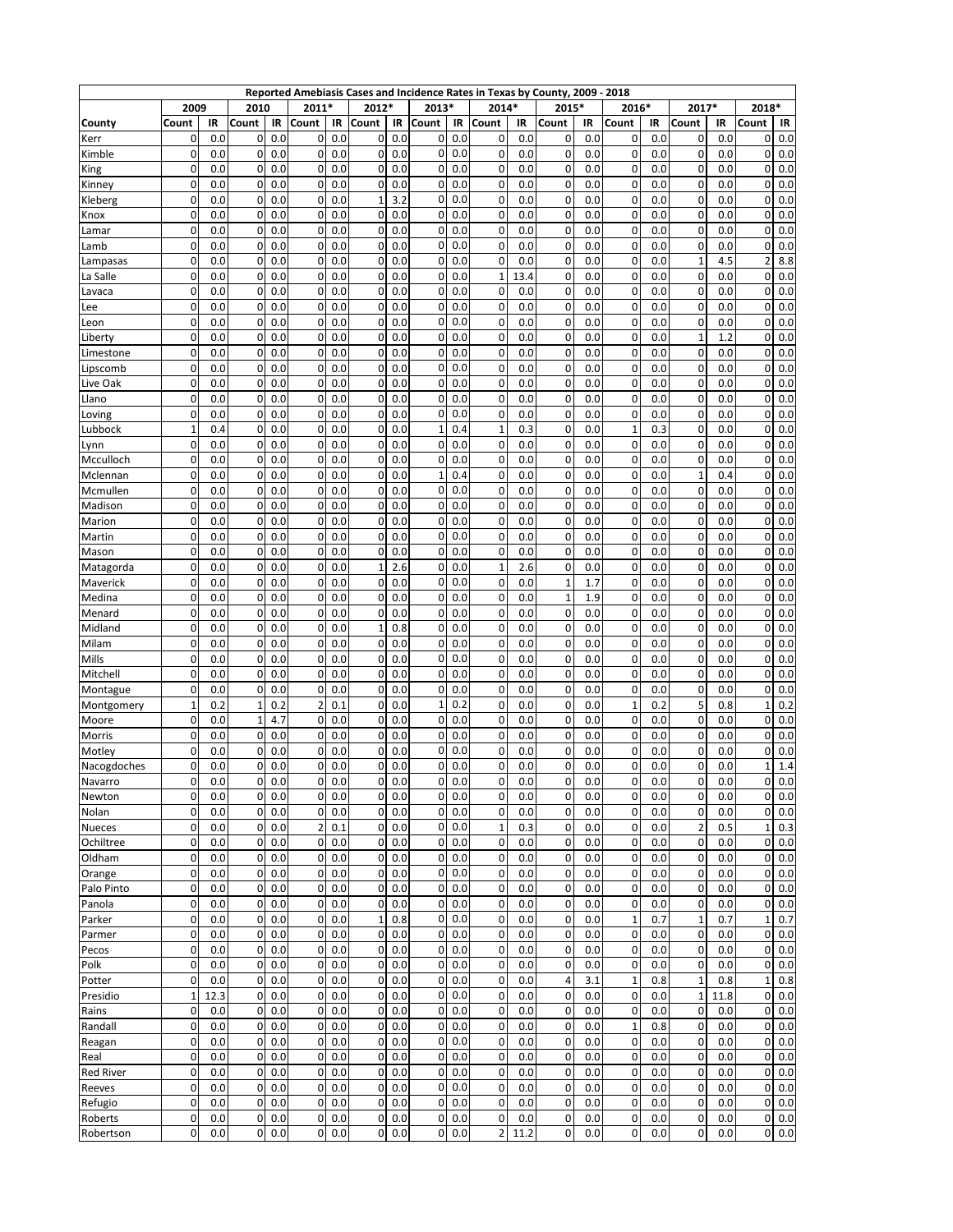|                        |              |            |              |            |                            |            |                |            |        |            |                |             | Reported Amebiasis Cases and Incidence Rates in Texas by County, 2009 - 2018 |            |                  |            |                |            |              |             |
|------------------------|--------------|------------|--------------|------------|----------------------------|------------|----------------|------------|--------|------------|----------------|-------------|------------------------------------------------------------------------------|------------|------------------|------------|----------------|------------|--------------|-------------|
|                        | 2009         |            | 2010         |            | 2011*                      |            | 2012*          |            | 2013*  |            | 2014*          |             | 2015*                                                                        |            | 2016*            |            | 2017*          |            | 2018*        |             |
| County                 | Count        | IR         | Count        | IR         | Count                      | IR         | Count          | IR         | Count  | IR         | Count          | IR          | Count                                                                        | IR         | Count            | IR         | Count          | IR         | Count        | IR          |
| Kerr                   | 0            | 0.0        | 0            | 0.0        | 0                          | 0.0        | 0              | 0.0        | 0      | 0.0        | 0              | 0.0         | 0                                                                            | 0.0        | 0                | 0.0        | 0              | 0.0        | 0            | 0.0         |
| Kimble                 | 0            | 0.0        | 0            | 0.0        | $\mathbf{0}$               | 0.0        | 0              | 0.0        | 0      | 0.0        | 0              | 0.0         | 0                                                                            | 0.0        | 0                | 0.0        | 0              | 0.0        | 0            | 0.0         |
| King                   | 0            | 0.0        | 0            | 0.0        | 0                          | 0.0        | 0              | 0.0        | 0      | 0.0        | 0              | 0.0         | 0                                                                            | 0.0        | 0                | 0.0        | 0              | 0.0        | 0            | 0.0         |
| Kinney                 | 0            | 0.0        | 0            | 0.0        | 0                          | 0.0        | 0              | 0.0        | 0      | 0.0        | 0              | 0.0         | 0                                                                            | 0.0        | $\Omega$         | 0.0        | 0              | 0.0        | 0            | 0.0         |
| Kleberg                | 0            | 0.0        | 0            | 0.0        | 0                          | 0.0        | $\mathbf{1}$   | 3.2        | 0      | 0.0        | 0              | 0.0         | 0                                                                            | 0.0        | 0                | 0.0        | 0              | 0.0        | 0            | 0.0         |
| Knox                   | 0            | 0.0        | 0            | 0.0        | 0                          | 0.0        | 0              | 0.0        | 0      | 0.0        | 0              | 0.0         | 0                                                                            | 0.0        | 0                | 0.0        | 0              | 0.0        | 0            | 0.0         |
| Lamar                  | 0            | 0.0        | 0            | 0.0        | 0                          | 0.0        | 0              | 0.0        | 0      | 0.0        | 0              | 0.0         | 0                                                                            | 0.0        | 0                | 0.0        | 0              | 0.0        | 0            | 0.0         |
| Lamb                   | 0            | 0.0        | 0            | 0.0        | $\mathbf{O}$               | 0.0        | 0              | 0.0        | 0      | 0.0        | 0              | 0.0         | 0                                                                            | 0.0        | 0                | 0.0        | $\mathbf 0$    | 0.0        | 0            | 0.0         |
| Lampasas               | 0            | 0.0        | 0            | 0.0        | 0                          | 0.0        | 0              | 0.0        | 0<br>0 | 0.0<br>0.0 | 0              | 0.0         | 0<br>0                                                                       | 0.0        | 0                | 0.0        | 1              | 4.5        | 2            | 8.8         |
| La Salle               | 0<br>0       | 0.0<br>0.0 | 0<br>0       | 0.0<br>0.0 | $\mathbf 0$<br>0           | 0.0<br>0.0 | 0<br>0         | 0.0<br>0.0 | 0      | 0.0        | 1<br>0         | 13.4<br>0.0 | 0                                                                            | 0.0<br>0.0 | 0<br>0           | 0.0<br>0.0 | 0<br>0         | 0.0<br>0.0 | 0<br>0       | 0.0<br>0.0  |
| Lavaca                 | 0            | 0.0        | 0            | 0.0        | 0                          | 0.0        | 0              | 0.0        | 0      | 0.0        | 0              | 0.0         | 0                                                                            | 0.0        | 0                | 0.0        | 0              | 0.0        | 0            | 0.0         |
| Lee                    | 0            | 0.0        | 0            | 0.0        | 0                          | 0.0        | 0              | 0.0        | 0      | 0.0        | 0              | 0.0         | 0                                                                            | 0.0        | 0                | 0.0        | 0              | 0.0        | 0            | 0.0         |
| Leon<br>Liberty        | 0            | 0.0        | 0            | 0.0        | 0                          | 0.0        | 0              | 0.0        | 0      | 0.0        | 0              | 0.0         | 0                                                                            | 0.0        | 0                | 0.0        | $\mathbf{1}$   | 1.2        | 0            | 0.0         |
| Limestone              | 0            | 0.0        | 0            | 0.0        | 0                          | 0.0        | 0              | 0.0        | 0      | 0.0        | 0              | 0.0         | 0                                                                            | 0.0        | $\Omega$         | 0.0        | $\Omega$       | 0.0        | 0            | 0.0         |
| Lipscomb               | 0            | 0.0        | 0            | 0.0        | 0                          | 0.0        | 0              | 0.0        | 0      | 0.0        | 0              | 0.0         | 0                                                                            | 0.0        | 0                | 0.0        | 0              | 0.0        | 0            | 0.0         |
| Live Oak               | 0            | 0.0        | 0            | 0.0        | 0                          | 0.0        | 0              | 0.0        | 0      | 0.0        | 0              | 0.0         | 0                                                                            | 0.0        | 0                | 0.0        | 0              | 0.0        | 0            | 0.0         |
| Llano                  | 0            | 0.0        | 0            | 0.0        | 0                          | 0.0        | 0              | 0.0        | 0      | 0.0        | 0              | 0.0         | 0                                                                            | 0.0        | $\Omega$         | 0.0        | 0              | 0.0        | 0            | 0.0         |
| Loving                 | 0            | 0.0        | 0            | 0.0        | 0                          | 0.0        | 0              | 0.0        | 0      | 0.0        | 0              | 0.0         | 0                                                                            | 0.0        | 0                | 0.0        | 0              | 0.0        | 0            | 0.0         |
| Lubbock                | $\mathbf{1}$ | 0.4        | 0            | 0.0        | 0                          | 0.0        | 0              | 0.0        | 1      | 0.4        | $\mathbf 1$    | 0.3         | 0                                                                            | 0.0        | $\mathbf{1}$     | 0.3        | 0              | 0.0        | 0            | 0.0         |
| Lynn                   | 0            | 0.0        | 0            | 0.0        | 0                          | 0.0        | 0              | 0.0        | 0      | 0.0        | 0              | 0.0         | 0                                                                            | 0.0        | 0                | 0.0        | 0              | 0.0        | 0            | 0.0         |
| Mcculloch              | 0            | 0.0        | 0            | 0.0        | 0                          | 0.0        | 0              | 0.0        | 0      | 0.0        | 0              | 0.0         | 0                                                                            | 0.0        | 0                | 0.0        | 0              | 0.0        | 0            | 0.0         |
| Mclennan               | 0            | 0.0        | 0            | 0.0        | 0                          | 0.0        | 0              | 0.0        | 1      | 0.4        | 0              | 0.0         | 0                                                                            | 0.0        | 0                | 0.0        | $\mathbf{1}$   | 0.4        | 0            | 0.0         |
| Mcmullen               | 0            | 0.0        | 0            | 0.0        | $\mathbf{O}$               | 0.0        | 0              | 0.0        | 0      | 0.0        | 0              | 0.0         | 0                                                                            | 0.0        | 0                | 0.0        | 0              | 0.0        | 0            | 0.0         |
| Madison                | 0            | 0.0        | 0            | 0.0        | 0                          | 0.0        | 0              | 0.0        | 0      | 0.0        | 0              | 0.0         | 0                                                                            | 0.0        | 0                | 0.0        | 0              | 0.0        | 0            | 0.0         |
| Marion                 | 0            | 0.0        | 0            | 0.0        | 0                          | 0.0        | 0              | 0.0        | 0      | 0.0        | 0              | 0.0         | 0                                                                            | 0.0        | 0                | 0.0        | 0              | 0.0        | 0            | 0.0         |
| Martin                 | 0            | 0.0        | 0            | 0.0        | $\mathbf 0$                | 0.0        | 0              | 0.0        | 0      | 0.0        | 0              | 0.0         | 0                                                                            | 0.0        | 0                | 0.0        | 0              | 0.0        | 0            | 0.0         |
| Mason                  | 0            | 0.0        | 0            | 0.0        | 0                          | 0.0        | 0              | 0.0        | 0      | 0.0        | 0              | 0.0         | 0                                                                            | 0.0        | 0                | 0.0        | 0              | 0.0        | 0            | 0.0         |
| Matagorda              | 0            | 0.0        | 0            | 0.0        | 0                          | 0.0        | $\overline{1}$ | 2.6        | 0      | 0.0        | $\mathbf{1}$   | 2.6         | 0                                                                            | 0.0        | $\Omega$         | 0.0        | $\Omega$       | 0.0        | 0            | 0.0         |
| Maverick               | 0            | 0.0        | 0            | 0.0        | 0                          | 0.0        | 0              | 0.0        | 0      | 0.0        | 0              | 0.0         | $\overline{1}$                                                               | 1.7        | 0                | 0.0        | 0              | 0.0        | 0            | 0.0         |
| Medina                 | 0            | 0.0        | 0            | 0.0        | 0                          | 0.0        | 0              | 0.0        | 0      | 0.0        | 0              | 0.0         | $\mathbf{1}$                                                                 | 1.9        | 0                | 0.0        | 0              | 0.0        | 0            | 0.0         |
| Menard                 | 0            | 0.0        | 0            | 0.0        | 0                          | 0.0        | 0              | 0.0        | 0      | 0.0        | 0              | 0.0         | 0                                                                            | 0.0        | 0                | 0.0        | 0              | 0.0        | 0            | 0.0         |
| Midland                | 0            | 0.0        | 0            | 0.0        | $\mathbf{0}$               | 0.0        | $\mathbf{1}$   | 0.8        | 0      | 0.0        | 0              | 0.0         | 0                                                                            | 0.0        | 0                | 0.0        | $\mathbf 0$    | 0.0        | 0            | 0.0         |
| Milam                  | 0            | 0.0        | 0            | 0.0        | 0                          | 0.0        | 0              | 0.0        | 0      | 0.0        | 0              | 0.0         | 0                                                                            | 0.0        | 0                | 0.0        | 0              | 0.0        | 0            | 0.0         |
| Mills                  | 0<br>0       | 0.0<br>0.0 | 0<br>0       | 0.0<br>0.0 | 0<br>0                     | 0.0<br>0.0 | 0<br>0         | 0.0<br>0.0 | 0<br>0 | 0.0<br>0.0 | 0<br>0         | 0.0<br>0.0  | 0<br>0                                                                       | 0.0<br>0.0 | 0<br>0           | 0.0<br>0.0 | 0<br>0         | 0.0<br>0.0 | 0            | 0.0<br>0.0  |
| Mitchell               | 0            | 0.0        | 0            | 0.0        | 0                          | 0.0        | 0              | 0.0        | 0      | 0.0        | 0              | 0.0         | 0                                                                            | 0.0        | 0                | 0.0        | 0              | 0.0        | 0<br>0       | 0.0         |
| Montague<br>Montgomery | $\mathbf{1}$ | 0.2        | 1            | 0.2        | $\overline{2}$             | 0.1        | 0              | 0.0        | 1      | 0.2        | 0              | 0.0         | 0                                                                            | 0.0        | $\mathbf{1}$     | 0.2        | 5              | 0.8        | $\mathbf{1}$ | 0.2         |
| Moore                  | 0            | 0.0        | $\mathbf{1}$ | 4.7        | 0                          | 0.0        | 0              | 0.0        | 0      | 0.0        | 0              | 0.0         | 0                                                                            | 0.0        | 0                | 0.0        | 0              | 0.0        | 0            | 0.0         |
| Morris                 | 0            | 0.0        | 0            | 0.0        | 0                          | 0.0        | 0              | 0.0        | 0      | 0.0        | 0              | 0.0         | 0                                                                            | 0.0        | $\Omega$         | 0.0        | $\Omega$       | 0.0        | 0            | 0.0         |
| Motley                 | 0            | 0.0        | 0            | 0.0        | 0                          | 0.0        | 0              | 0.0        | 0      | 0.0        | 0              | 0.0         | 0                                                                            | 0.0        | 0                | 0.0        | 0              | 0.0        | 0            | 0.0         |
| Nacogdoches            | 0            | 0.0        | 0            | 0.0        | 0                          | 0.0        | 0              | 0.0        | 0      | 0.0        | 0              | 0.0         | 0                                                                            | 0.0        | 0                | 0.0        | 0              | 0.0        | 1            | 1.4         |
| Navarro                | 0            | 0.0        | 0            | 0.0        | $\Omega$                   | 0.0        | $\overline{0}$ | 0.0        | 0      | 0.0        | 0              | 0.0         | 0                                                                            | 0.0        | 0                | 0.0        | 0              | 0.0        | 0            | 0.0         |
| Newton                 | 0            | 0.0        | 0            | 0.0        | $\overline{0}$             | 0.0        | 0              | 0.0        | 0      | 0.0        | 0              | 0.0         | 0                                                                            | 0.0        | 0                | 0.0        | 0              | 0.0        | 0            | 0.0         |
| Nolan                  | 0            | 0.0        | 0            | 0.0        | $\mathbf 0$                | 0.0        | 0              | 0.0        | 0      | 0.0        | 0              | 0.0         | 0                                                                            | 0.0        | 0                | 0.0        | 0              | 0.0        | 0            | 0.0         |
| <b>Nueces</b>          | 0            | 0.0        | 0            | 0.0        | $\overline{2}$             | 0.1        | 0              | 0.0        | 0      | 0.0        | $\mathbf 1$    | 0.3         | 0                                                                            | 0.0        | 0                | 0.0        | $\overline{2}$ | 0.5        | $\mathbf 1$  | 0.3         |
| Ochiltree              | 0            | 0.0        | 0            | 0.0        | $\mathbf 0$                | 0.0        | $\mathbf 0$    | 0.0        | 0      | 0.0        | 0              | 0.0         | 0                                                                            | 0.0        | $\mathbf 0$      | 0.0        | 0              | 0.0        | 0            | 0.0         |
| Oldham                 | 0            | 0.0        | 0            | 0.0        | $\mathbf 0$                | 0.0        | 0              | 0.0        | 0      | 0.0        | 0              | 0.0         | 0                                                                            | 0.0        | 0                | 0.0        | 0              | 0.0        | 0            | 0.0         |
| Orange                 | 0            | 0.0        | 0            | 0.0        | $\overline{0}$             | 0.0        | $\mathbf 0$    | 0.0        | 0      | 0.0        | 0              | 0.0         | 0                                                                            | 0.0        | 0                | 0.0        | $\pmb{0}$      | 0.0        | 0            | 0.0         |
| Palo Pinto             | 0            | 0.0        | 0            | 0.0        | $\mathbf 0$                | 0.0        | 0              | 0.0        | 0      | 0.0        | 0              | 0.0         | 0                                                                            | 0.0        | 0                | 0.0        | 0              | 0.0        | 0            | 0.0         |
| Panola                 | 0            | 0.0        | 0            | 0.0        | $\overline{0}$             | 0.0        | 0              | 0.0        | 0      | 0.0        | 0              | 0.0         | 0                                                                            | 0.0        | 0                | 0.0        | 0              | 0.0        | 0            | 0.0         |
| Parker                 | 0            | 0.0        | 0            | 0.0        | $\mathbf 0$                | 0.0        | $\mathbf{1}$   | 0.8        | 0      | 0.0        | 0              | 0.0         | 0                                                                            | 0.0        | $\mathbf 1$      | 0.7        | $\mathbf 1$    | 0.7        | $\mathbf{1}$ | 0.7         |
| Parmer                 | 0            | 0.0        | 0            | 0.0        | $\mathbf 0$                | 0.0        | 0              | 0.0        | 0      | 0.0        | 0              | 0.0         | 0                                                                            | 0.0        | 0                | 0.0        | 0              | 0.0        | 0            | 0.0         |
| Pecos                  | 0            | 0.0        | 0            | 0.0        | $\mathbf{O}$               | 0.0        | 0              | 0.0        | 0      | 0.0        | 0              | 0.0         | 0                                                                            | 0.0        | 0                | 0.0        | 0              | 0.0        | 0            | 0.0         |
| Polk                   | 0            | 0.0        | 0            | 0.0        | $\mathbf 0$                | 0.0        | $\mathbf 0$    | 0.0        | 0      | 0.0        | 0              | 0.0         | 0                                                                            | 0.0        | 0                | 0.0        | 0              | 0.0        | 0            | 0.0         |
| Potter                 | 0            | 0.0        | $\mathbf 0$  | 0.0        | $\mathbf 0$                | 0.0        | 0              | 0.0        | 0      | 0.0        | 0              | 0.0         | 4                                                                            | 3.1        | $\mathbf 1$      | 0.8        | $\mathbf{1}$   | 0.8        | $\mathbf{1}$ | 0.8         |
| Presidio               | $\mathbf 1$  | 12.3       | 0            | 0.0        | $\mathbf 0$                | 0.0        | 0              | 0.0        | 0      | 0.0        | 0              | 0.0         | 0                                                                            | 0.0        | 0                | 0.0        | $\mathbf{1}$   | 11.8       | 0            | 0.0         |
| Rains                  | 0<br>0       | 0.0        | 0<br>0       | 0.0        | $\mathbf 0$<br>$\mathbf 0$ | 0.0        | 0<br>0         | 0.0        | 0      | 0.0<br>0.0 | 0              | 0.0         | 0<br>0                                                                       | 0.0        | 0<br>$\mathbf 1$ | 0.0        | 0<br>0         | 0.0        | 0            | 0.0         |
| Randall                | 0            | 0.0<br>0.0 | 0            | 0.0<br>0.0 | $\mathbf 0$                | 0.0<br>0.0 | 0              | 0.0<br>0.0 | 0<br>0 | 0.0        | 0<br>0         | 0.0<br>0.0  | 0                                                                            | 0.0<br>0.0 | 0                | 0.8<br>0.0 | 0              | 0.0<br>0.0 | 0<br>0       | 0.0<br>0.0  |
| Reagan<br>Real         | 0            | 0.0        | 0            | 0.0        | $\mathbf 0$                | 0.0        | 0              | 0.0        | 0      | 0.0        | 0              | 0.0         | 0                                                                            | 0.0        | 0                | 0.0        | 0              | 0.0        | 0            | 0.0         |
| <b>Red River</b>       | 0            | 0.0        | 0            | 0.0        | $\mathbf 0$                | 0.0        | 0              | 0.0        | 0      | 0.0        | 0              | 0.0         | 0                                                                            | 0.0        | 0                | 0.0        | 0              | 0.0        | 0            | 0.0         |
| Reeves                 | 0            | 0.0        | 0            | 0.0        | $\mathbf 0$                | 0.0        | $\mathbf 0$    | 0.0        | 0      | 0.0        | $\pmb{0}$      | 0.0         | 0                                                                            | 0.0        | 0                | 0.0        | 0              | 0.0        | 0            | 0.0         |
| Refugio                | 0            | 0.0        | 0            | 0.0        | $\mathbf 0$                | 0.0        | 0              | 0.0        | 0      | 0.0        | 0              | 0.0         | 0                                                                            | 0.0        | $\mathbf 0$      | 0.0        | 0              | 0.0        | 0            | 0.0         |
| Roberts                | 0            | 0.0        | 0            | 0.0        | $\overline{0}$             | 0.0        | 0              | 0.0        | 0      | 0.0        | 0              | 0.0         | 0                                                                            | 0.0        | 0                | 0.0        | 0              | 0.0        |              | $0\quad0.0$ |
| Robertson              | 0            | 0.0        | 0            | 0.0        | $\mathbf 0$                | 0.0        | 0              | 0.0        | 0      | 0.0        | $\overline{2}$ | 11.2        | 0                                                                            | 0.0        | 0                | 0.0        | 0              | 0.0        |              | $0\,0.0$    |